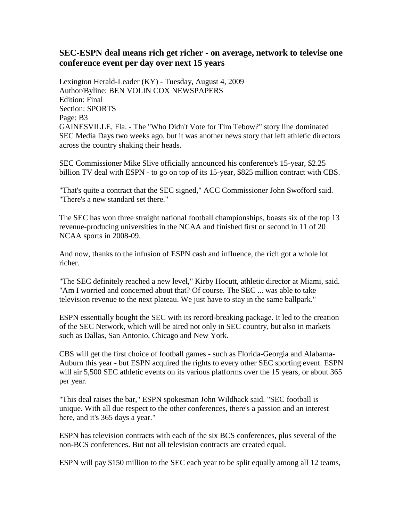## **SEC-ESPN deal means rich get richer - on average, network to televise one conference event per day over next 15 years**

Lexington Herald-Leader (KY) - Tuesday, August 4, 2009 Author/Byline: BEN VOLIN COX NEWSPAPERS Edition: Final Section: SPORTS Page: B3 GAINESVILLE, Fla. - The "Who Didn't Vote for Tim Tebow?" story line dominated SEC Media Days two weeks ago, but it was another news story that left athletic directors across the country shaking their heads.

SEC Commissioner Mike Slive officially announced his conference's 15-year, \$2.25 billion TV deal with ESPN - to go on top of its 15-year, \$825 million contract with CBS.

"That's quite a contract that the SEC signed," ACC Commissioner John Swofford said. "There's a new standard set there."

The SEC has won three straight national football championships, boasts six of the top 13 revenue-producing universities in the NCAA and finished first or second in 11 of 20 NCAA sports in 2008-09.

And now, thanks to the infusion of ESPN cash and influence, the rich got a whole lot richer.

"The SEC definitely reached a new level," Kirby Hocutt, athletic director at Miami, said. "Am I worried and concerned about that? Of course. The SEC ... was able to take television revenue to the next plateau. We just have to stay in the same ballpark."

ESPN essentially bought the SEC with its record-breaking package. It led to the creation of the SEC Network, which will be aired not only in SEC country, but also in markets such as Dallas, San Antonio, Chicago and New York.

CBS will get the first choice of football games - such as Florida-Georgia and Alabama-Auburn this year - but ESPN acquired the rights to every other SEC sporting event. ESPN will air 5,500 SEC athletic events on its various platforms over the 15 years, or about 365 per year.

"This deal raises the bar," ESPN spokesman John Wildhack said. "SEC football is unique. With all due respect to the other conferences, there's a passion and an interest here, and it's 365 days a year."

ESPN has television contracts with each of the six BCS conferences, plus several of the non-BCS conferences. But not all television contracts are created equal.

ESPN will pay \$150 million to the SEC each year to be split equally among all 12 teams,